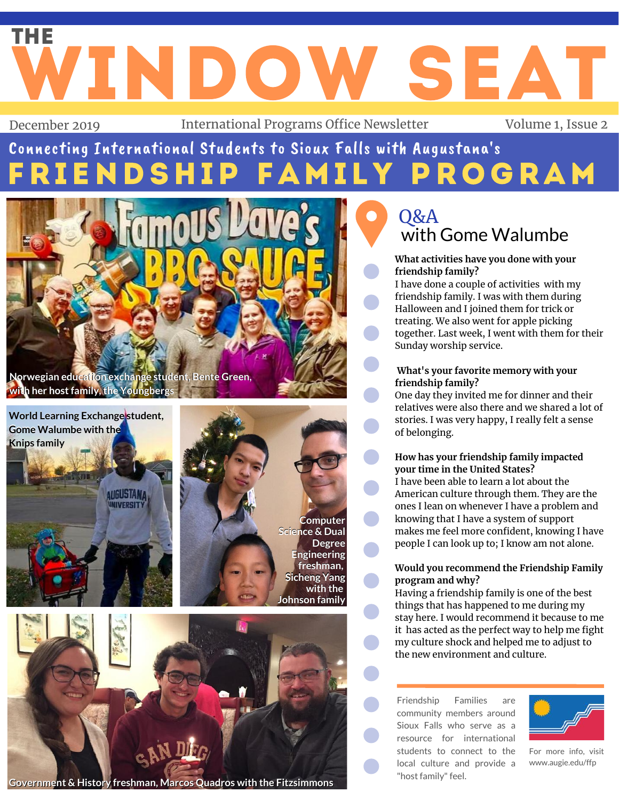# WINDOW SEAT December 2019 International Programs Office Newsletter Volume 1, Issue 2 THE

## ENDSHIP FAMILY PROGRAM Connecting International Students to Sioux Falls with Augustana's

**Computer Computer**

**freshman, freshman,**

**with** the

**Degree Degree**



**World Learning Exchange student, Gome Walumbe with the WorldLearningExchangestudent,Gome Walumbe with the Knips family**





### **Government & History freshman, Marcos Quadros with the Fitzsimmons**

### with Gome Walumbe Q&A

#### **What activities have you done with your friendship family?**

I have done a couple of activities with my friendship family. I was with them during Halloween and I joined them for trick or treating. We also went for apple picking together. Last week, I went with them for their Sunday worship service.

#### **What's your favorite memory with your friendship family?**

One day they invited me for dinner and their relatives were also there and we shared a lot of stories. I was very happy, I really felt a sense of belonging.

#### **How has your friendship family impacted your time in the United States?**

I have been able to learn a lot about the American culture through them. They are the ones I lean on whenever I have a problem and knowing that I have a system of support makes me feel more confident, knowing I have people I can look up to; I know am not alone.

### **Would you recommend the Friendship Family program and why?**

Having a friendship family is one of the best things that has happened to me during my stay here. I would recommend it because to me it has acted as the perfect way to help me fight my culture shock and helped me to adjust to the new environment and culture.

Friendship Families are community members around Sioux Falls who serve as a resource for international students to connect to the local culture and provide a "host family" feel.



For more info, visit [www.augie.edu/ffp](http://www.augie.edu/ffp)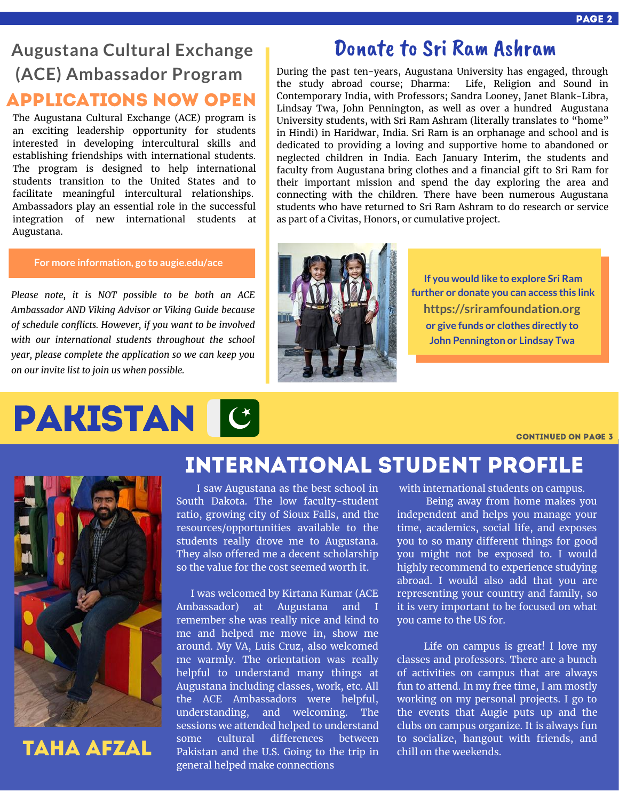### **Augustana Cultural Exchange (ACE) Ambassador Program** Applications Now Open

The Augustana Cultural Exchange (ACE) program is an exciting leadership opportunity for students interested in developing intercultural skills and establishing friendships with international students. The program is designed to help international students transition to the United States and to facilitate meaningful intercultural relationships. Ambassadors play an essential role in the successful integration of new international students at Augustana.

#### **For more information, go to [augie.edu/ace](http://augie.edu/ace)**

*Please note, it is NOT possible to be both an ACE Ambassador AND Viking Advisor or Viking Guide because of schedule conflicts. However, if you want to be involved with our international students throughout the school year, please complete the application so we can keep you on our invite list to join us when possible.*

# Pakistan

### Donate to Sri Ram Ashram

During the past ten-years, Augustana University has engaged, through the study abroad course; Dharma: Life, Religion and Sound in Contemporary India, with Professors; Sandra Looney, Janet Blank-Libra, Lindsay Twa, John Pennington, as well as over a hundred Augustana University students, with Sri Ram Ashram (literally translates to "home" in Hindi) in Haridwar, India. Sri Ram is an orphanage and school and is dedicated to providing a loving and supportive home to abandoned or neglected children in India. Each January Interim, the students and faculty from Augustana bring clothes and a financial gift to Sri Ram for their important mission and spend the day exploring the area and connecting with the children. There have been numerous Augustana students who have returned to Sri Ram Ashram to do research or service as part of a Civitas, Honors, or cumulative project.



**If you would like to explore Sri Ram further or donate you can access this link [https://sriramfoundation.org](https://sriramfoundation.org/) or give funds or clothes directly to John Pennington or Lindsay Twa**

continued on page 3



### Taha Afzal

### international Student Profile

I saw Augustana as the best school in South Dakota. The low faculty-student ratio, growing city of Sioux Falls, and the resources/opportunities available to the students really drove me to Augustana. They also offered me a decent scholarship so the value for the cost seemed worth it.

I was welcomed by Kirtana Kumar (ACE Ambassador) at Augustana and I remember she was really nice and kind to me and helped me move in, show me around. My VA, Luis Cruz, also welcomed me warmly. The orientation was really helpful to understand many things at Augustana including classes, work, etc. All the ACE Ambassadors were helpful, understanding, and welcoming. The sessions we attended helped to understand some cultural differences between Pakistan and the U.S. Going to the trip in general helped make connections

with international students on campus.

Being away from home makes you independent and helps you manage your time, academics, social life, and exposes you to so many different things for good you might not be exposed to. I would highly recommend to experience studying abroad. I would also add that you are representing your country and family, so it is very important to be focused on what you came to the US for.

Life on campus is great! I love my classes and professors. There are a bunch of activities on campus that are always fun to attend. In my free time, I am mostly working on my personal projects. I go to the events that Augie puts up and the clubs on campus organize. It is always fun to socialize, hangout with friends, and chill on the weekends.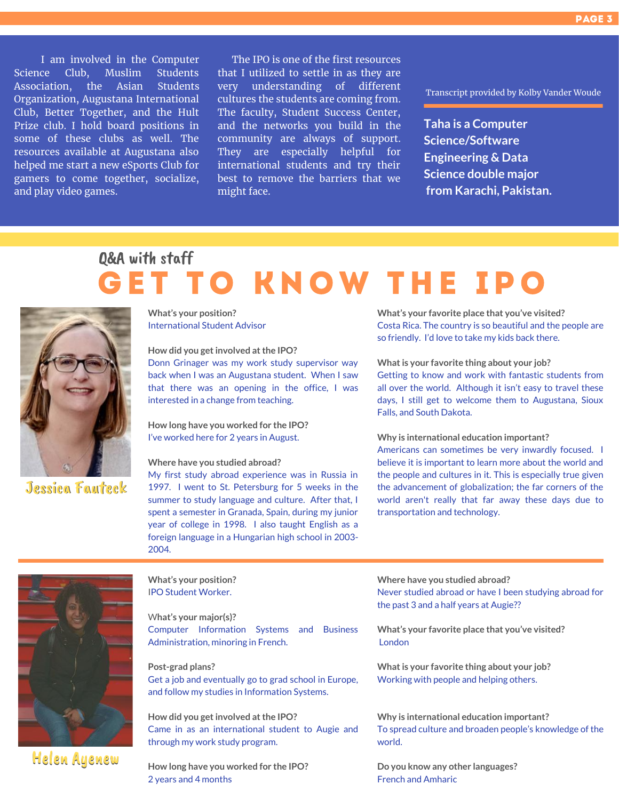I am involved in the Computer Science Club, Muslim Students Association, the Asian Students Organization, Augustana International Club, Better Together, and the Hult Prize club. I hold board positions in some of these clubs as well. The resources available at Augustana also helped me start a new eSports Club for gamers to come together, socialize, and play video games.

The IPO is one of the first resources that I utilized to settle in as they are very understanding of different cultures the students are coming from. The faculty, Student Success Center, and the networks you build in the community are always of support. They are especially helpful for international students and try their best to remove the barriers that we might face.

Transcript provided by Kolby Vander Woude

**Taha is a Computer Science/Software Engineering & Data Science double major from Karachi, Pakistan.**

## **GET TO KNOW THE IPO** Q&A with staff



Jessica Fauteck

**What's your position?** International Student Advisor

**How did you getinvolved atthe IPO?** Donn Grinager was my work study supervisor way back when I was an Augustana student. When I saw that there was an opening in the office, I was interested in a change from teaching.

**How long have you worked for the IPO?** I've worked here for 2 years in August.

#### **Where have you studied abroad?**

My first study abroad experience was in Russia in 1997. I went to St. Petersburg for 5 weeks in the summer to study language and culture. After that, I spent a semester in Granada, Spain, during my junior year of college in 1998. I also taught English as a foreign language in a Hungarian high school in 2003- 2004.

**What's your favorite place that you've visited?** Costa Rica. The country is so beautiful and the people are so friendly. I'd love to take my kids back there.

**Whatis your favorite thing about your job?** Getting to know and work with fantastic students from all over the world. Although it isn't easy to travel these days, I still get to welcome them to Augustana, Sioux

**Why is international education important?**

Falls, and South Dakota.

Americans can sometimes be very inwardly focused. I believe it is important to learn more about the world and the people and cultures in it. This is especially true given the advancement of globalization; the far corners of the world aren't really that far away these days due to transportation and technology.



#### **What's your position?** IPO Student Worker.

W**hat's your major(s)?** Computer Information Systems and Business Administration, minoring in French.

**Post-grad plans?** Get a job and eventually go to grad school in Europe, and follow my studies in Information Systems.

**How did you getinvolved atthe IPO?** Came in as an international student to Augie and through my work study program.

**How long have you worked for the IPO?** 2 years and 4 months

**Where have you studied abroad?**

Never studied abroad or have I been studying abroad for the past 3 and a half years at Augie??

**What's your favorite place that you've visited?** London

**Whatis your favorite thing about your job?** Working with people and helping others.

**Why is international education important?** To spread culture and broaden people's knowledge of the world.

**Do you know any other languages?** French and Amharic